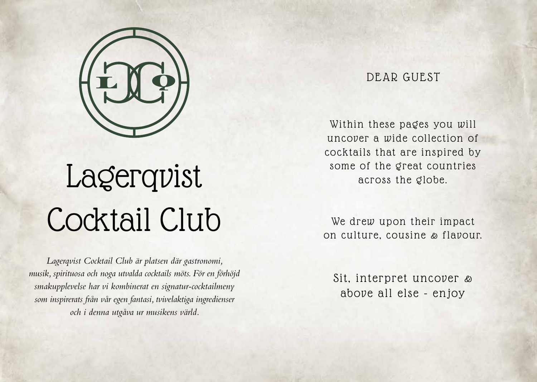

# Lagerqvist Cocktail Club

*Lagerqvist Cocktail Club är platsen där gastronomi, musik, spirituosa och noga utvalda cocktails möts. För en förhöjd smakupplevelse har vi kombinerat en signatur-cocktailmeny som inspirerats från vår egen fantasi, tvivelaktiga ingredienser och i denna utgåva ur musikens värld.*

### DEAR GUEST

Within these pages you will uncover a wide collection of cocktails that are inspired by some of the great countries across the globe.

We drew upon their impact on culture, cousine & flavour.

Sit, interpret uncover & above all else - enjoy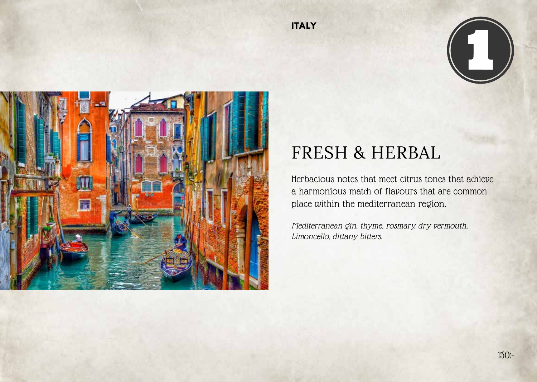



## FRESH & HERBAL

Herbacious notes that meet citrus tones that achieve a harmonious match of flavours that are common place within the mediterranean region.

Mediterranean gin, thyme, rosmary, dry vermouth, Limoncello, dittany bitters.

**ITALY**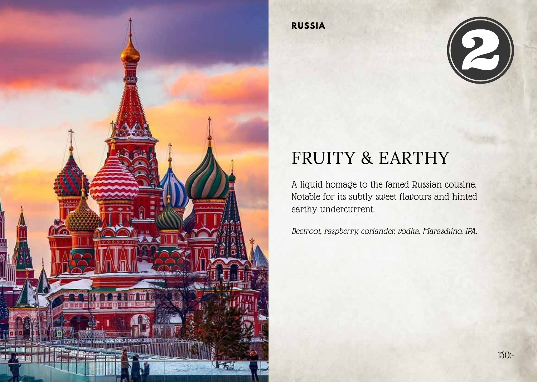

**RUSSIA**



## FRUITY & EARTHY

A liquid homage to the famed Russian cousine. Notable for its subtly sweet flavours and hinted earthy undercurrent.

Beetroot, raspberry, coriander, vodka, Maraschino, IPA.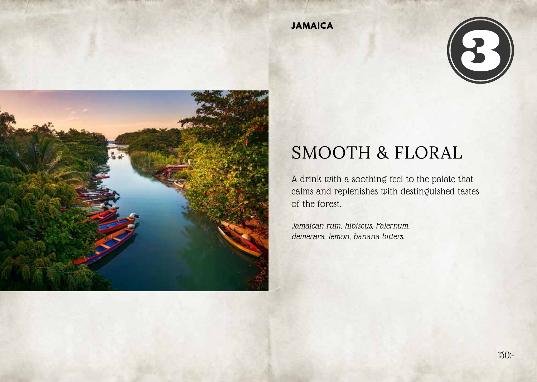





## SMOOTH & FLORAL

A drink with a soothing feel to the palate that calms and replenishes with destinguished tastes of the forest.

Jamaican rum, hibiscus, Falernum, demerara, lemon, banana bitters.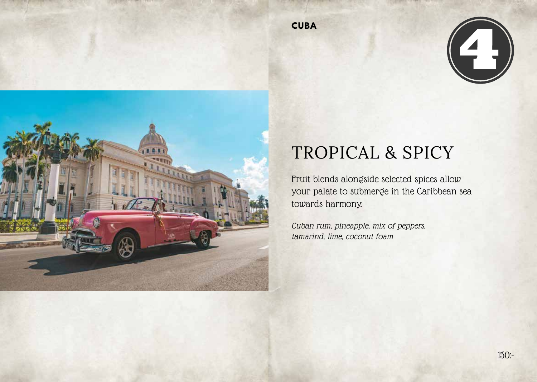**CUBA**





## TROPICAL & SPICY

Fruit blends alongside selected spices allow your palate to submerge in the Caribbean sea towards harmony.

Cuban rum, pineapple, mix of peppers, tamarind, lime, coconut foam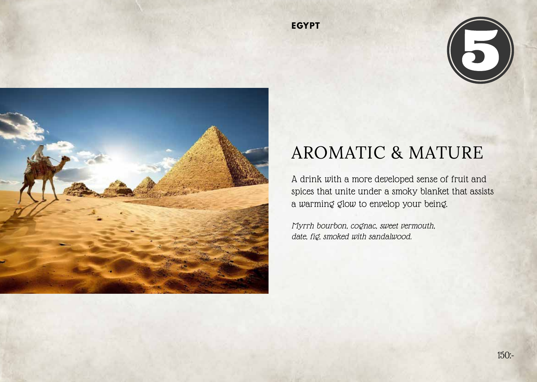



## AROMATIC & MATURE

A drink with a more developed sense of fruit and spices that unite under a smoky blanket that assists a warming glow to envelop your being.

Myrrh bourbon, cognac, sweet vermouth, date, fig, smoked with sandalwood.

**EGYPT**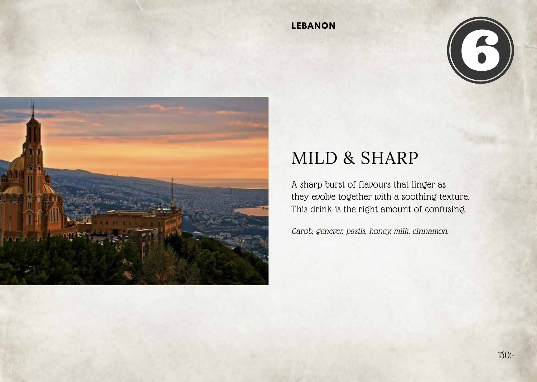### **LEBANON**





## MILD & SHARP

A sharp burst of flavours that linger as they evolve together with a soothing texture. This drink is the right amount of confusing.

Carob, genever, pastis, honey, milk, cinnamon.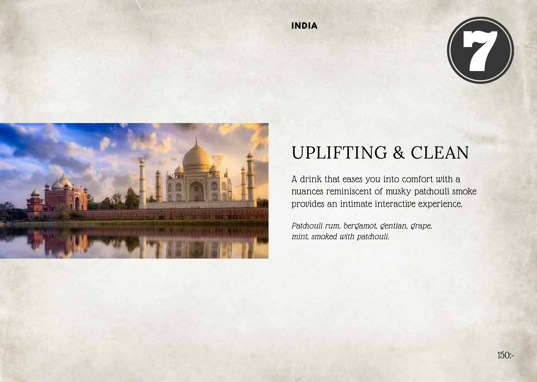





## UPLIFTING & CLEAN

A drink that eases you into comfort with a nuances reminiscent of musky patchouli smoke provides an intimate interactive experience.

Patchouli rum, bergamot, gentian, grape, mint, smoked with patchouli.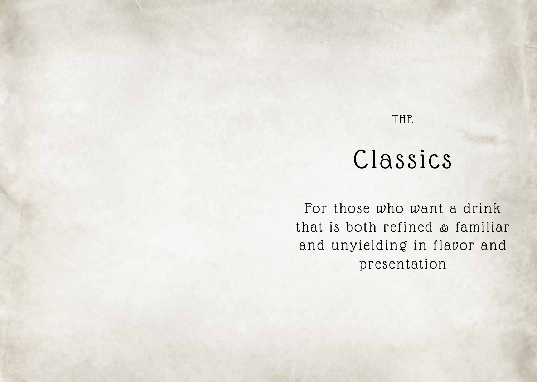## THE

## Classics

For those who want a drink that is both refined & familiar and unyielding in flavor and presentation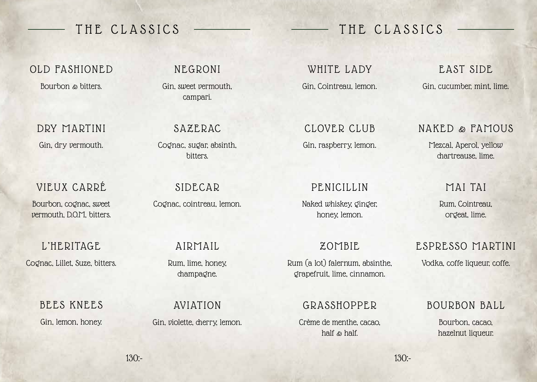OLD FASHIONED

Bourbon & bitters.

DRY MARTINI Gin, dry vermouth.

VIEUX CARRÉ

Bourbon, cognac, sweet vermouth, D.O.M, bitters.

L'HERITAGE

Cognac, Lillet, Suze, bitters.

BEES KNEES Gin, lemon, honey.

NEGRONI

Gin, sweet vermouth, campari.

SAZERAC

Cognac, sugar, absinth, bitters.

SIDECAR Cognac, cointreau, lemon.

AIRMAIL

Rum, lime, honey, champagne.

AVIATION

Gin, violette, cherry, lemon.

## THE CLASSICS — THE CLASSICS

WHITE LADY Gin, Cointreau, lemon.

CLOVER CLUB Gin, raspberry, lemon.

### PENICILLIN

Naked whiskey, ginger, honey, lemon.

ZOMBIE

Rum (a lot) falernum, absinthe, grapefruit, lime, cinnamon.

### GRASSHOPPER

Crème de menthe, cacao, half & half.

### EAST SIDE Gin, cucumber, mint, lime.

### NAKED & FAMOUS

Mezcal, Aperol, yellow chartreause, lime.

### MAI TAI

Rum, Cointreau, orgeat, lime.

### ESPRESSO MARTINI

Vodka, coffe liqueur, coffe.

### BOURBON BALL

Bourbon, cacao, hazelnut liqueur.

 $130 -$